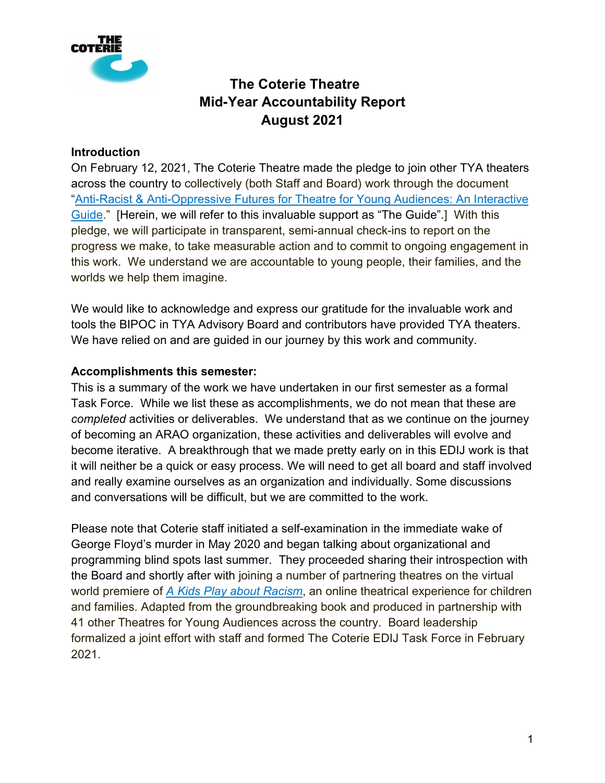

#### **Introduction**

On February 12, 2021, The Coterie Theatre made the pledge to join other TYA theaters across the country to collectively (both Staff and Board) work through the document ["Anti-Racist & Anti-Oppressive Futures for Theatre for Young Audiences: An Interactive](https://www.tyausa.org/arao-guide/)  [Guide.](https://www.tyausa.org/arao-guide/)" [Herein, we will refer to this invaluable support as "The Guide".] With this pledge, we will participate in transparent, semi-annual check-ins to report on the progress we make, to take measurable action and to commit to ongoing engagement in this work. We understand we are accountable to young people, their families, and the worlds we help them imagine.

We would like to acknowledge and express our gratitude for the invaluable work and tools the BIPOC in TYA Advisory Board and contributors have provided TYA theaters. We have relied on and are guided in our journey by this work and community.

#### **Accomplishments this semester:**

This is a summary of the work we have undertaken in our first semester as a formal Task Force. While we list these as accomplishments, we do not mean that these are *completed* activities or deliverables. We understand that as we continue on the journey of becoming an ARAO organization, these activities and deliverables will evolve and become iterative. A breakthrough that we made pretty early on in this EDIJ work is that it will neither be a quick or easy process. We will need to get all board and staff involved and really examine ourselves as an organization and individually. Some discussions and conversations will be difficult, but we are committed to the work.

Please note that Coterie staff initiated a self-examination in the immediate wake of George Floyd's murder in May 2020 and began talking about organizational and programming blind spots last summer. They proceeded sharing their introspection with the Board and shortly after with joining a number of partnering theatres on the virtual world premiere of *[A Kids Play about Racism](https://thecoterie.org/performance/kids-play-about-racism)*, an online theatrical experience for children and families. Adapted from the groundbreaking book and produced in partnership with 41 other Theatres for Young Audiences across the country. Board leadership formalized a joint effort with staff and formed The Coterie EDIJ Task Force in February 2021.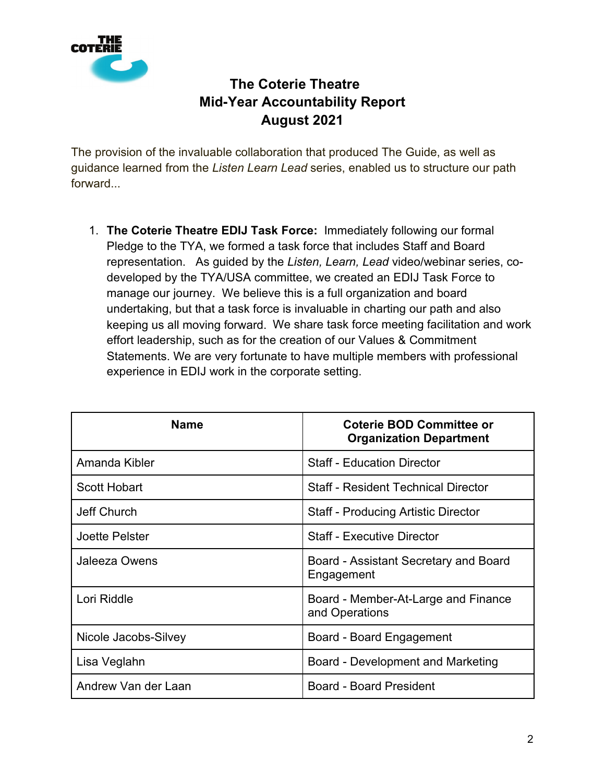

The provision of the invaluable collaboration that produced The Guide, as well as guidance learned from the *Listen Learn Lead* series, enabled us to structure our path forward...

1. **The Coterie Theatre EDIJ Task Force:** Immediately following our formal Pledge to the TYA, we formed a task force that includes Staff and Board representation. As guided by the *Listen, Learn, Lead* video/webinar series, codeveloped by the TYA/USA committee, we created an EDIJ Task Force to manage our journey. We believe this is a full organization and board undertaking, but that a task force is invaluable in charting our path and also keeping us all moving forward. We share task force meeting facilitation and work effort leadership, such as for the creation of our Values & Commitment Statements. We are very fortunate to have multiple members with professional experience in EDIJ work in the corporate setting.

| <b>Name</b>          | <b>Coterie BOD Committee or</b><br><b>Organization Department</b> |  |  |
|----------------------|-------------------------------------------------------------------|--|--|
| Amanda Kibler        | <b>Staff - Education Director</b>                                 |  |  |
| Scott Hobart         | <b>Staff - Resident Technical Director</b>                        |  |  |
| Jeff Church          | <b>Staff - Producing Artistic Director</b>                        |  |  |
| Joette Pelster       | <b>Staff - Executive Director</b>                                 |  |  |
| <b>Jaleeza Owens</b> | Board - Assistant Secretary and Board<br>Engagement               |  |  |
| Lori Riddle          | Board - Member-At-Large and Finance<br>and Operations             |  |  |
| Nicole Jacobs-Silvey | Board - Board Engagement                                          |  |  |
| Lisa Veglahn         | Board - Development and Marketing                                 |  |  |
| Andrew Van der Laan  | <b>Board - Board President</b>                                    |  |  |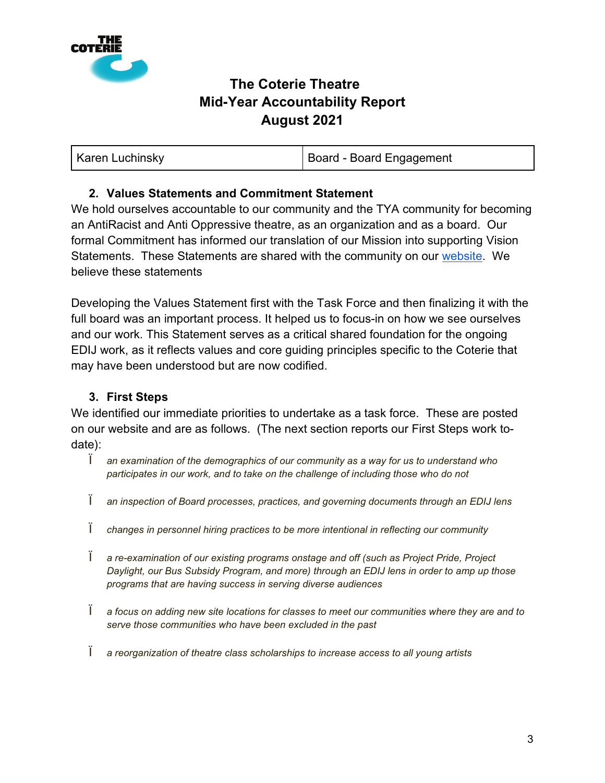

#### **2. Values Statements and Commitment Statement**

We hold ourselves accountable to our community and the TYA community for becoming an AntiRacist and Anti Oppressive theatre, as an organization and as a board. Our formal Commitment has informed our translation of our Mission into supporting Vision Statements. These Statements are shared with the community on our [website.](https://thecoterie.org/mission-values) We believe these statements

Developing the Values Statement first with the Task Force and then finalizing it with the full board was an important process. It helped us to focus-in on how we see ourselves and our work. This Statement serves as a critical shared foundation for the ongoing EDIJ work, as it reflects values and core guiding principles specific to the Coterie that may have been understood but are now codified.

#### **3. First Steps**

We identified our immediate priorities to undertake as a task force. These are posted on our website and are as follows. (The next section reports our First Steps work todate):

- Ï *an examination of the demographics of our community as a way for us to understand who participates in our work, and to take on the challenge of including those who do not*
- Ï *an inspection of Board processes, practices, and governing documents through an EDIJ lens*
- Ï *changes in personnel hiring practices to be more intentional in reflecting our community*
- Ï *a re-examination of our existing programs onstage and off (such as Project Pride, Project Daylight, our Bus Subsidy Program, and more) through an EDIJ lens in order to amp up those programs that are having success in serving diverse audiences*
- Ï *a focus on adding new site locations for classes to meet our communities where they are and to serve those communities who have been excluded in the past*
- Ï *a reorganization of theatre class scholarships to increase access to all young artists*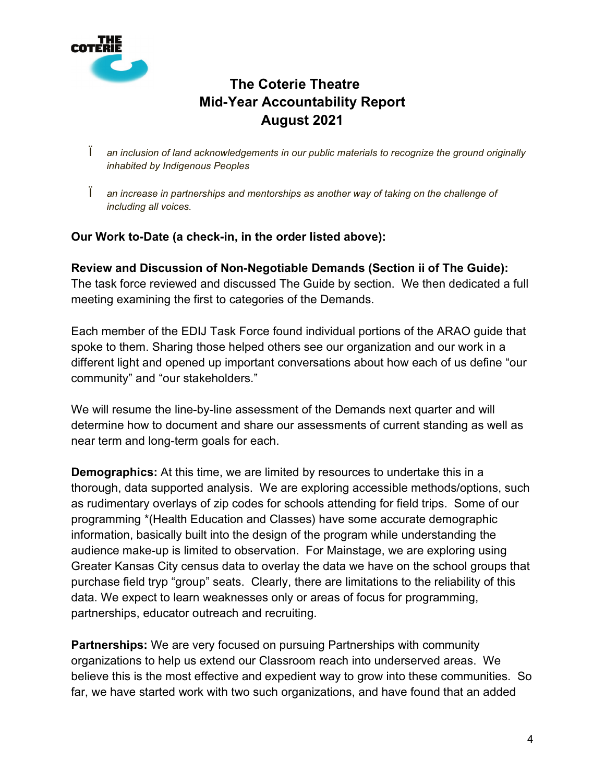

- Ï *an inclusion of land acknowledgements in our public materials to recognize the ground originally inhabited by Indigenous Peoples*
- Ï *an increase in partnerships and mentorships as another way of taking on the challenge of including all voices.*

#### **Our Work to-Date (a check-in, in the order listed above):**

**Review and Discussion of Non-Negotiable Demands (Section ii of The Guide):** The task force reviewed and discussed The Guide by section. We then dedicated a full meeting examining the first to categories of the Demands.

Each member of the EDIJ Task Force found individual portions of the ARAO guide that spoke to them. Sharing those helped others see our organization and our work in a different light and opened up important conversations about how each of us define "our community" and "our stakeholders."

We will resume the line-by-line assessment of the Demands next quarter and will determine how to document and share our assessments of current standing as well as near term and long-term goals for each.

**Demographics:** At this time, we are limited by resources to undertake this in a thorough, data supported analysis. We are exploring accessible methods/options, such as rudimentary overlays of zip codes for schools attending for field trips. Some of our programming \*(Health Education and Classes) have some accurate demographic information, basically built into the design of the program while understanding the audience make-up is limited to observation. For Mainstage, we are exploring using Greater Kansas City census data to overlay the data we have on the school groups that purchase field tryp "group" seats. Clearly, there are limitations to the reliability of this data. We expect to learn weaknesses only or areas of focus for programming, partnerships, educator outreach and recruiting.

**Partnerships:** We are very focused on pursuing Partnerships with community organizations to help us extend our Classroom reach into underserved areas. We believe this is the most effective and expedient way to grow into these communities. So far, we have started work with two such organizations, and have found that an added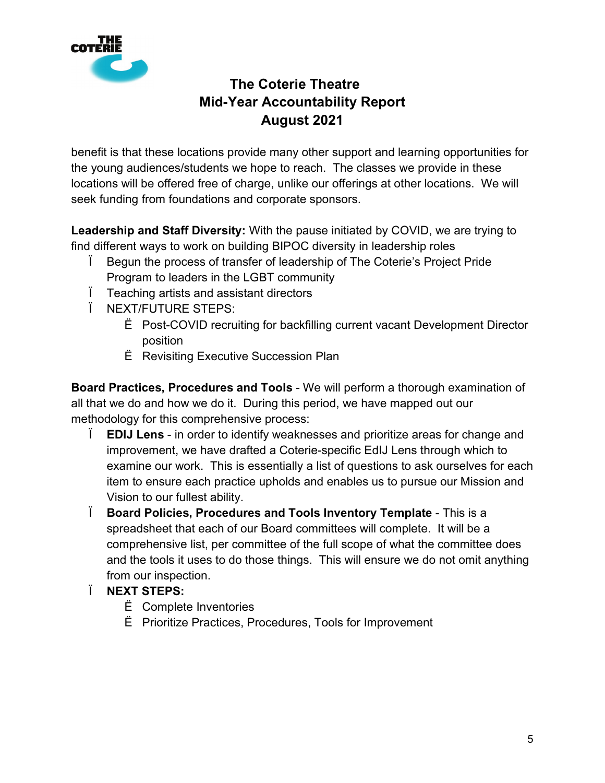

benefit is that these locations provide many other support and learning opportunities for the young audiences/students we hope to reach. The classes we provide in these locations will be offered free of charge, unlike our offerings at other locations. We will seek funding from foundations and corporate sponsors.

**Leadership and Staff Diversity:** With the pause initiated by COVID, we are trying to find different ways to work on building BIPOC diversity in leadership roles

- Ï Begun the process of transfer of leadership of The Coterie's Project Pride Program to leaders in the LGBT community
- Ï Teaching artists and assistant directors
- Ï NEXT/FUTURE STEPS:
	- Ë Post-COVID recruiting for backfilling current vacant Development Director position
	- Ë Revisiting Executive Succession Plan

**Board Practices, Procedures and Tools** - We will perform a thorough examination of all that we do and how we do it. During this period, we have mapped out our methodology for this comprehensive process:

- Ï **EDIJ Lens** in order to identify weaknesses and prioritize areas for change and improvement, we have drafted a Coterie-specific EdIJ Lens through which to examine our work. This is essentially a list of questions to ask ourselves for each item to ensure each practice upholds and enables us to pursue our Mission and Vision to our fullest ability.
- Ï **Board Policies, Procedures and Tools Inventory Template** This is a spreadsheet that each of our Board committees will complete. It will be a comprehensive list, per committee of the full scope of what the committee does and the tools it uses to do those things. This will ensure we do not omit anything from our inspection.
- Ï **NEXT STEPS:**
	- Ë Complete Inventories
	- Ë Prioritize Practices, Procedures, Tools for Improvement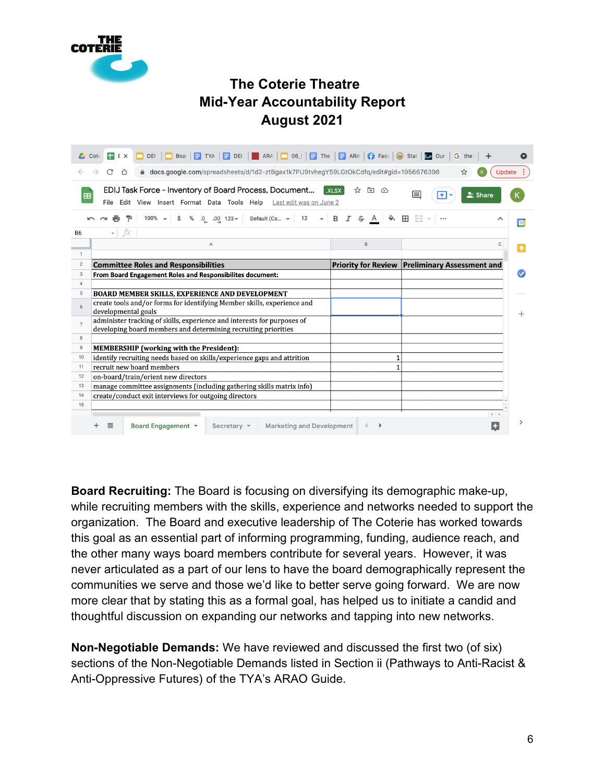

|                                                                                                              | DEI   BOar   E TYA   E DEI   BARA   DOS_I   E The   E ARA   $\bigcirc$ Face   S stat   B Our  <br>$F$ E $\times$<br>$\mathsf{Cot}$        |                                  | G<br>the                                              |                   |  |
|--------------------------------------------------------------------------------------------------------------|-------------------------------------------------------------------------------------------------------------------------------------------|----------------------------------|-------------------------------------------------------|-------------------|--|
| △ docs.google.com/spreadsheets/d/1d2-ztBgax1k7PU9tvhegY59LGtOkCdfq/edit#gid=1956676398<br>C<br>⇧<br>Update : |                                                                                                                                           |                                  |                                                       |                   |  |
| 田                                                                                                            | EDIJ Task Force - Inventory of Board Process, Document<br>File Edit View Insert Format Data Tools Help Last edit was on June 2            | .XLSX<br>☆<br>$\rightarrow$<br>⊙ | 囯<br><b>▲</b> Share<br>$\vert \cdot \vert$            |                   |  |
|                                                                                                              | .0 .00 123 v Default (Ca v 12 v B $I$ S<br>$100\% - $ \$<br>%                                                                             | A                                | │ �. 田 空 ~│…                                          | ᄉ<br>$\boxed{31}$ |  |
| B <sub>6</sub>                                                                                               | fx<br>$\overline{\phantom{a}}$                                                                                                            |                                  |                                                       |                   |  |
|                                                                                                              | Α                                                                                                                                         | B                                |                                                       | C                 |  |
| $\mathbf{1}$                                                                                                 |                                                                                                                                           |                                  |                                                       |                   |  |
| $\overline{2}$                                                                                               | <b>Committee Roles and Responsibilities</b>                                                                                               |                                  | <b>Priority for Review Preliminary Assessment and</b> |                   |  |
| 3                                                                                                            | From Board Engagement Roles and Responsibilites document:                                                                                 |                                  |                                                       |                   |  |
| 4                                                                                                            |                                                                                                                                           |                                  |                                                       |                   |  |
| 5                                                                                                            | BOARD MEMBER SKILLS, EXPERIENCE AND DEVELOPMENT                                                                                           |                                  |                                                       |                   |  |
| 6                                                                                                            | create tools and/or forms for identifying Member skills, experience and<br>developmental goals                                            |                                  |                                                       |                   |  |
| $\overline{7}$                                                                                               | administer tracking of skills, experience and interests for purposes of<br>developing board members and determining recruiting priorities |                                  |                                                       |                   |  |
| 8                                                                                                            |                                                                                                                                           |                                  |                                                       |                   |  |
| 9                                                                                                            | <b>MEMBERSHIP</b> (working with the President):                                                                                           |                                  |                                                       |                   |  |
| 10                                                                                                           | identify recruiting needs based on skills/experience gaps and attrition                                                                   | 1                                |                                                       |                   |  |
| 11                                                                                                           | recruit new board members                                                                                                                 | 1                                |                                                       |                   |  |
| 12                                                                                                           | on-board/train/orient new directors                                                                                                       |                                  |                                                       |                   |  |
| 13                                                                                                           | manage committee assignments (including gathering skills matrix info)                                                                     |                                  |                                                       |                   |  |
| 14                                                                                                           | create/conduct exit interviews for outgoing directors                                                                                     |                                  |                                                       |                   |  |
| 15                                                                                                           |                                                                                                                                           |                                  |                                                       |                   |  |
|                                                                                                              |                                                                                                                                           |                                  |                                                       | $\leftarrow$      |  |
|                                                                                                              | Board Engagement ▼<br><b>Marketing and Development</b><br>亖<br>Secretary $\sim$                                                           |                                  |                                                       |                   |  |

**Board Recruiting:** The Board is focusing on diversifying its demographic make-up, while recruiting members with the skills, experience and networks needed to support the organization. The Board and executive leadership of The Coterie has worked towards this goal as an essential part of informing programming, funding, audience reach, and the other many ways board members contribute for several years. However, it was never articulated as a part of our lens to have the board demographically represent the communities we serve and those we'd like to better serve going forward. We are now more clear that by stating this as a formal goal, has helped us to initiate a candid and thoughtful discussion on expanding our networks and tapping into new networks.

**Non-Negotiable Demands:** We have reviewed and discussed the first two (of six) sections of the Non-Negotiable Demands listed in Section ii (Pathways to Anti-Racist & Anti-Oppressive Futures) of the TYA's ARAO Guide.